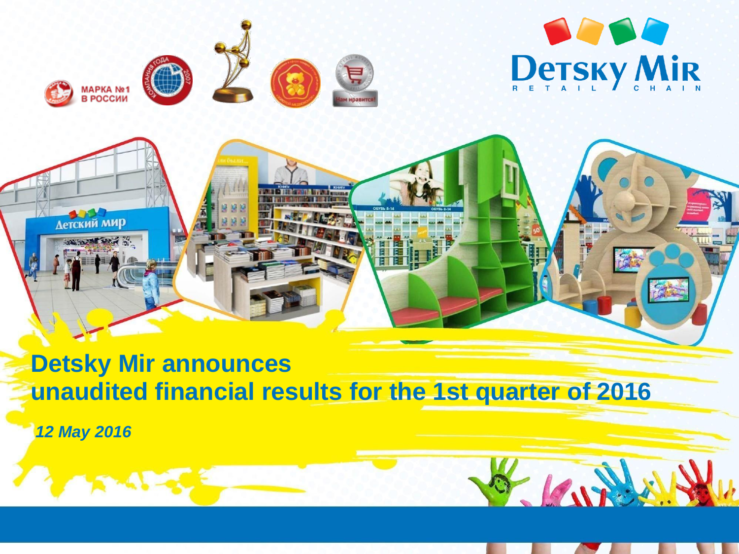

 $-10v$ 





# **Detsky Mir announces unaudited financial results for the 1st quarter of 2016**

*12 May 2016*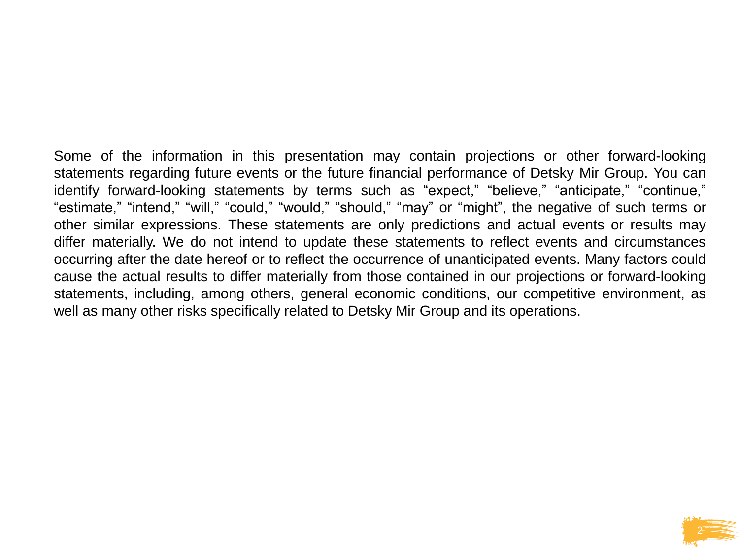Some of the information in this presentation may contain projections or other forward-looking statements regarding future events or the future financial performance of Detsky Mir Group. You can identify forward-looking statements by terms such as "expect," "believe," "anticipate," "continue," "estimate," "intend," "will," "could," "would," "should," "may" or "might", the negative of such terms or other similar expressions. These statements are only predictions and actual events or results may differ materially. We do not intend to update these statements to reflect events and circumstances occurring after the date hereof or to reflect the occurrence of unanticipated events. Many factors could cause the actual results to differ materially from those contained in our projections or forward-looking statements, including, among others, general economic conditions, our competitive environment, as well as many other risks specifically related to Detsky Mir Group and its operations.

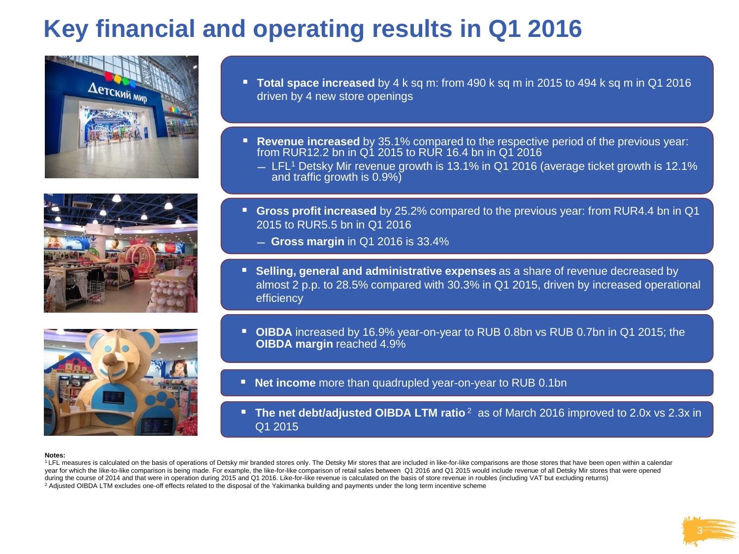# **Key financial and operating results in Q1 2016**







- **Total space increased** by 4 k sq m: from 490 k sq m in 2015 to 494 k sq m in Q1 2016 driven by 4 new store openings
- **Revenue increased** by 35.1% compared to the respective period of the previous year: from RUR12.2 bn in Q1 2015 to RUR 16.4 bn in Q1 2016
	- ̶ LFL<sup>1</sup> Detsky Mir revenue growth is 13.1% in Q1 2016 (average ticket growth is 12.1% and traffic growth is 0.9%)
- **Gross profit increased** by 25.2% compared to the previous year: from RUR4.4 bn in Q1 2015 to RUR5.5 bn in Q1 2016
	- ̶ **Gross margin** in Q1 2016 is 33.4%
- **Selling, general and administrative expenses** as a share of revenue decreased by almost 2 p.p. to 28.5% compared with 30.3% in Q1 2015, driven by increased operational efficiency
- **OIBDA** increased by 16.9% year-on-year to RUB 0.8bn vs RUB 0.7bn in Q1 2015; the **OIBDA margin** reached 4.9%
- **Net income** more than quadrupled year-on-year to RUB 0.1bn
- **The net debt/adjusted OIBDA LTM ratio** <sup>2</sup> as of March 2016 improved to 2.0x vs 2.3x in Q1 2015

#### **Notes:**

<sup>1</sup> LFL measures is calculated on the basis of operations of Detsky mir branded stores only. The Detsky Mir stores that are included in like-for-like comparisons are those stores that have been open within a calendar year for which the like-to-like comparison is being made. For example, the like-for-like comparison of retail sales between Q1 2016 and Q1 2015 would include revenue of all Detsky Mir stores that were opened during the course of 2014 and that were in operation during 2015 and Q1 2016. Like-for-like revenue is calculated on the basis of store revenue in roubles (including VAT but excluding returns) <sup>2</sup> Adjusted OIBDA LTM excludes one-off effects related to the disposal of the Yakimanka building and payments under the long term incentive scheme

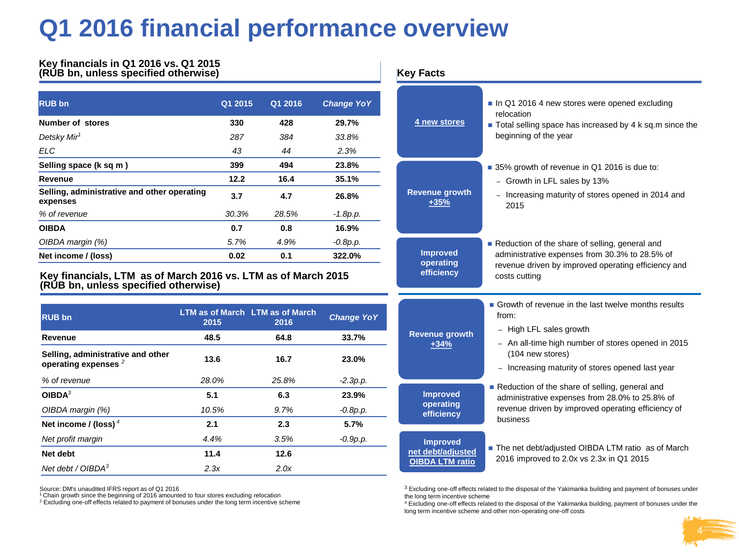### **Q1 2016 financial performance overview**

#### **Key financials in Q1 2016 vs. Q1 2015 (RUB bn, unless specified otherwise) Key Facts**

| <b>RUB bn</b>                                           | Q1 2015 | Q1 2016 | <b>Change YoY</b> |
|---------------------------------------------------------|---------|---------|-------------------|
| Number of stores                                        | 330     | 428     | 29.7%             |
| Detsky Mir <sup>1</sup>                                 | 287     | 384     | 33.8%             |
| ELC                                                     | 43      | 44      | 2.3%              |
| Selling space (k sq m)                                  | 399     | 494     | 23.8%             |
| Revenue                                                 | 12.2    | 16.4    | 35.1%             |
| Selling, administrative and other operating<br>expenses | 3.7     | 4.7     | 26.8%             |
| % of revenue                                            | 30.3%   | 28.5%   | $-1.8p.p.$        |
| <b>OIBDA</b>                                            | 0.7     | 0.8     | 16.9%             |
| OIBDA margin (%)                                        | 5.7%    | 4.9%    | $-0.8p.p.$        |
| Net income / (loss)                                     | 0.02    | 0.1     | 322.0%            |

**Key financials, LTM as of March 2016 vs. LTM as of March 2015 (RUB bn, unless specified otherwise)**

| <b>RUB bn</b>                                               | 2015  | <b>LTM as of March LTM as of March</b><br>2016 | <b>Change YoY</b> |  |
|-------------------------------------------------------------|-------|------------------------------------------------|-------------------|--|
| Revenue                                                     | 48.5  | 64.8                                           | 33.7%             |  |
| Selling, administrative and other<br>operating expenses $2$ | 13.6  | 16.7                                           | 23.0%             |  |
| % of revenue                                                | 28.0% | 25.8%                                          | $-2.3p.p.$        |  |
| OIBDA <sup>3</sup>                                          | 5.1   | 6.3                                            | 23.9%             |  |
| OIBDA margin (%)                                            | 10.5% | 9.7%                                           | $-0.8p.p.$        |  |
| Net income / (loss) $4$                                     | 2.1   | 2.3                                            | 5.7%              |  |
| Net profit margin                                           | 4.4%  | 3.5%                                           | $-0.9p.p.$        |  |
| Net debt                                                    | 11.4  | 12.6                                           |                   |  |
| Net debt / $OIBDA3$                                         | 2.3x  | 2.0x                                           |                   |  |

Source: DM's unaudited IFRS report as of Q1 2016

<sup>1</sup> Chain growth since the beginning of 2016 amounted to four stores excluding relocation

<sup>2</sup> Excluding one-off effects related to payment of bonuses under the long term incentive scheme

| <b>Key Facts</b>                                               |                                                                                                                                                                                                                     |  |  |
|----------------------------------------------------------------|---------------------------------------------------------------------------------------------------------------------------------------------------------------------------------------------------------------------|--|--|
| 4 new stores                                                   | In Q1 2016 4 new stores were opened excluding<br>relocation<br>■ Total selling space has increased by 4 k sq.m since the<br>beginning of the year                                                                   |  |  |
| <b>Revenue growth</b><br>$+35%$                                | 35% growth of revenue in Q1 2016 is due to:<br>- Growth in LFL sales by 13%<br>- Increasing maturity of stores opened in 2014 and<br>2015                                                                           |  |  |
| <b>Improved</b><br>operating<br>efficiency                     | Reduction of the share of selling, general and<br>administrative expenses from 30.3% to 28.5% of<br>revenue driven by improved operating efficiency and<br>costs cutting                                            |  |  |
| <b>Revenue growth</b><br>+34%                                  | Growth of revenue in the last twelve months results<br>from:<br>High LFL sales growth<br>- An all-time high number of stores opened in 2015<br>(104 new stores)<br>- Increasing maturity of stores opened last year |  |  |
| <b>Improved</b><br>operating<br>efficiency                     | Reduction of the share of selling, general and<br>administrative expenses from 28.0% to 25.8% of<br>revenue driven by improved operating efficiency of<br>business                                                  |  |  |
| <b>Improved</b><br>net debt/adjusted<br><b>OIBDA LTM ratio</b> | The net debt/adjusted OIBDA LTM ratio as of March<br>2016 improved to 2.0x vs 2.3x in Q1 2015                                                                                                                       |  |  |

<sup>3</sup> Excluding one-off effects related to the disposal of the Yakimanka building and payment of bonuses under the long term incentive scheme

<sup>4</sup> Excluding one-off effects related to the disposal of the Yakimanka building, payment of bonuses under the long term incentive scheme and other non-operating one-off costs

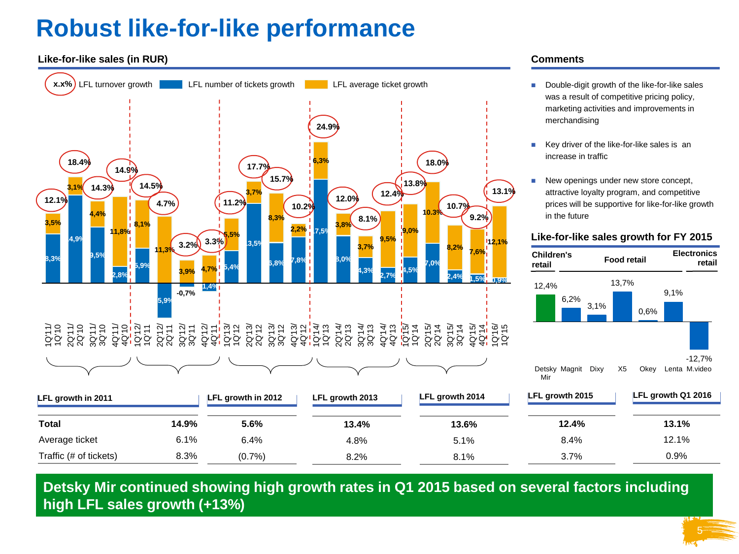# **Robust like-for-like performance**

### **Like-for-like sales (in RUR)**



### **Comments**

- Double-digit growth of the like-for-like sales was a result of competitive pricing policy, marketing activities and improvements in merchandising
- Key driver of the like-for-like sales is an increase in traffic
- New openings under new store concept, attractive loyalty program, and competitive prices will be supportive for like-for-like growth in the future

#### **Like-for-like sales growth for FY 2015**

| Children's<br>retail | <b>Food retail</b> |      |       | <b>Electronics</b><br>retail |      |                           |
|----------------------|--------------------|------|-------|------------------------------|------|---------------------------|
| 12,4%                | 6,2%               | 3,1% | 13,7% | 0,6%                         | 9,1% |                           |
| Mir                  | Detsky Magnit      | Dixy | X5    | Okey                         |      | $-12,7%$<br>Lenta M.video |

5

| LFL growth in 2011     |       | LFL growth in 2012 | LFL growth 2013 | LFL growth 2014 | LFL growth 2015 | LFL growth Q1 2016 |  |
|------------------------|-------|--------------------|-----------------|-----------------|-----------------|--------------------|--|
| <b>Total</b>           | 14.9% | 5.6%               | 13.4%           | 13.6%           | 12.4%           | 13.1%              |  |
| Average ticket         | 6.1%  | 6.4%               | 4.8%            | 5.1%            | 8.4%            | 12.1%              |  |
| Traffic (# of tickets) | 8.3%  | (0.7%              | 8.2%            | 8.1%            | 3.7%            | 0.9%               |  |

Detsky Mir continued showing high growth rates in Q1 2015 based on several factors including **high LFL sales growth (+13%)**